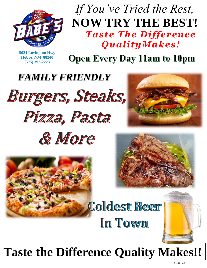

## *If You've Tried the Rest,* **NOW TRY THE BEST!** *Taste The Difference QualityMakes!*

**5024 Lovington Hwy Hobbs, NM 88240 (575) 392-2223**

**Open Every Day 11am to 10pm** 

*FAMILY FRIENDLY*













**Coldest Beer** In Town

# **Taste the Difference Quality Makes!!**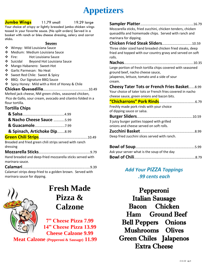

**Jumbo Wings** 11.79 small 19.29 large

Your choice of crispy or lightly breaded jumbo chicken wings tossed in your favorite sauce. (No split orders) Served in a basket with ranch or bleu cheese dressing, celery and carrot sticks.

#### **Sauces**

- ❖ Wimpy: Mild Louisiana Sauce
- ❖ Medium: Medium Louisiana Sauce
- ❖ Fire: Hot Louisiana Sauce
- ❖ Suicidal Beyond Hot Louisiana Sauce
- ❖ Mango Habanero: Sweet-Hot
- ❖ Garlic Parmesan: No Heat
- ❖ Sweet Red Chile: Sweet & Spicy
- ❖ BBQ: Our Signature BBQ Sauce
- ❖ Spicy Honey: Mild with a Hint of Honey & Chile

**Chicken Quesadilla**………….………………………….………10.49

Melted jack cheese, NM green chiles, seasoned chicken, Pico de Gallo, sour cream, avocado and cilantro folded in a flour tortilla.

#### **Tortilla Chips**

| & Nacho Cheese Sauce 5.99                                                    |  |
|------------------------------------------------------------------------------|--|
|                                                                              |  |
| & Spinach, Artichoke Dip8.99                                                 |  |
|                                                                              |  |
| Breaded and fried green chili strips served with ranch<br>dressing           |  |
|                                                                              |  |
| Hand breaded and deep-fried mozzarella sticks served with<br>marinara sauce. |  |
|                                                                              |  |
| Calamari strips deep-fried to a golden brown. Served with                    |  |

marinara sauce for dipping.



## **Fresh Made Pizza & Calzone**

**7" Cheese Pizza 7.99 14" Cheese Pizza 13.99 Cheese Calzone 9.99** 

 **Meat Calzone (Pepperoni & Sausage) 11.99**

| Mozzarella sticks, fried zucchini, chicken tenders, chicken<br>quesadilla and homemade chips. Served with ranch and<br>marinara for dipping. |
|----------------------------------------------------------------------------------------------------------------------------------------------|
|                                                                                                                                              |
| Three slider sized hand breaded chicken fried steaks, deep                                                                                   |
| fried and topped with our country gravy and served on soft<br>rolls.                                                                         |
|                                                                                                                                              |
| Large portion of fresh tortilla chips covered with seasoned<br>ground beef, nacho cheese sauce,                                              |
| jalapenos, lettuce, tomato and a side of sour                                                                                                |
| cream.                                                                                                                                       |
| <b>Cheesy Tater Tots or French Fries Basket8.99</b>                                                                                          |
| Your choice of tater tots or French fries covered in nacho<br>cheese sauce, green onions and bacon bits.                                     |
|                                                                                                                                              |
| Freshly made pork rinds with your choice<br>of dipping sauce or salsa.                                                                       |
|                                                                                                                                              |
| 3 juicy burger patties topped with grilled<br>onions and cheese served on soft rolls.                                                        |
|                                                                                                                                              |
| Deep fried zucchini slices served with ranch.                                                                                                |

| Ask your server what is the soup of the day |  |
|---------------------------------------------|--|
|                                             |  |

### *Add Your PIZZA Toppings .99 cents each*

Pepperoni Italian Sausage Bacon Chicken Ham Ground Beef Bell Peppers Onions Mushrooms Olives Green Chiles Jalapenos Extra Cheese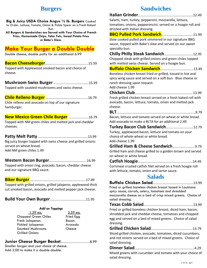### **Burgers**

**Big & Juicy USDA Choice Angus ½ lb. Burgers** Cooked to Order. Lettuce, Tomato, Onion & Pickle Spear on a Fresh Baked Bun.

**All Burgers & Sandwiches are Served with Your Choice of French Fries, Homemade Chips, Tater Tots, Sweet Potato Fries or Babe's Slaw.**

### **Make Your Burger a Double Double**

Double cheese, double patty for an additional 6.99

**Bacon Cheeseburger**……………………………….…….…...15.59 Topped with Applewood smoked bacon and choice of cheese.

**Mushroom Swiss Burger** ……………………………….….15.39 Topped with sautéed mushrooms and swiss cheese.

**Chile Relleno Burger** …………………….………...…………16.79

Chile relleno and avocado on top of our signature hamburger.

**New Mexico Green Chile Burger** …………...……..16.79

Topped with NM green chiles and melted jack and cheddar cheeses.

#### **Patty Melt Patty** ………………………………………………….13.99

Big juicy burger topped with swiss cheese and grilled onions served on wheat bread.

Add NM green chiles 1.49

#### **Western Bacon Burger**……………………………………..16.99

Topped with onion ring, avocado, bacon, cheddar cheese and our signature BBQ sauce.

#### **Biker Burger**………………………………………………………...17.49

Topped with grilled onions, grilled jalapeno, applewood thick cut smoked bacon, avocado and melted pepper jack cheese.

**Build Your Own Burger**…………………………………...11.95

#### *Add on Toppings*

| 1. <u>59 ea.</u>         | $2.59$ ea. |
|--------------------------|------------|
| Chopped Green Chiles     | Fried Egg  |
| Fresh Jalapenos          | Bacon      |
| <b>Pickled Jalapenos</b> | Avocado    |
| Sautéed Mushrooms        | Cheese     |
| Grilled Onions           |            |

#### **Junior Cheese Burger Basket**……………………….……8.99

Smaller burger and your choice of cheese. Add 2.00 to make it a double-double.

### **Sandwiches**

| Salami, ham, turkey, pepperoni, mozzarella, lettuce,           |
|----------------------------------------------------------------|
| tomatoes, onions, pepperoncini, served on a hoagie roll and    |
| drizzled with Italian dressing.                                |
| <b>BBQ Pulled Pork Sandwich11.99</b>                           |
| Slow cooked pulled pork simmered in our signature BBQ          |
| sauce, topped with Babe's slaw and served on our sweet         |
| specialty bun.                                                 |
|                                                                |
| Chopped steak with grilled onions and green chiles topped      |
| with melted swiss cheese. Served on a hoagie bun.              |
|                                                                |
| Boneless chicken breast fried or grilled, tossed in hot and    |
| spicy wing sauce and served on a soft bun. Blue cheese or      |
| ranch dressing upon request.                                   |
| Add cheese 1.99                                                |
|                                                                |
|                                                                |
| Fresh grilled chicken breast served on a fresh baked roll with |
| avocado, bacon, lettuce, tomato, onion and melted jack         |
| cheese.                                                        |
|                                                                |
| Bacon, lettuce and tomato served on wheat or white bread.      |
| Add avocado to make a BLTA for an additional 2.49              |
| Turkey Bacon Club Sandwich12.79                                |
| Turkey, applewood bacon, lettuce and tomato on your            |
| choice of whole wheat or white bread.                          |
| Add cheese 1.99                                                |
|                                                                |
| Grilled ham and cheese grilled to a golden brown and served    |
| on wheat or white bread.                                       |
|                                                                |
| Cornmeal crusted catfish filet served on a fresh hoagie roll   |
| with lettuce, tomato, onion and tartar sauce.                  |
| <b>Salads</b>                                                  |
|                                                                |
| Fried or grilled boneless chicken breast tossed in Louisiana   |
| spicy sauce, carrots, celery, tomatoes and shredded            |
| mozzarella cheese on a bed of crisp mixed greens. Choice of    |
| salad dressing.                                                |
|                                                                |
| Fried or grilled boneless chicken breast, diced ham, bacon,    |
| shredded jack and cheddar cheese, tomatoes and chopped         |
| egg and served on a bed of mixed greens. Choice of salad       |
| dressing.                                                      |
|                                                                |
| Sliced grilled chicken, avocado, tomatoes, diced cucumbers,    |
| and red onions served on a bed of mixed greens. Choice of      |
| salad dressing.                                                |
|                                                                |

Mixed greens with cucumber and tomato with your choice of

salad dressing.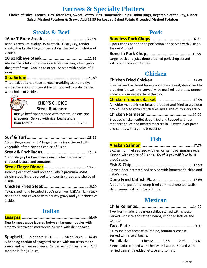### **Entrees & Specialty Platters**

**Choice of Sides: French Fries, Tater Tots, Sweet Potato Fries, Homemade Chips, Onion Rings, Vegetable of the Day, Dinner Salad, Mashed Potatoes & Gravy. Add \$2.99 for Loaded Baked Potato & Loaded Mashed Potatoes.**

### **Steaks & Beef**

#### **16 oz T-Bone Steak**……………………………………………..27.99

Babe's premium quality USDA steak. 16 oz juicy, tender steak, char broiled to your perfection. Served with choice of 2 sides*.*

**10 oz Ribeye Steak**……………………………………………...22.99

Always flavorful and tender due to its marbling which gives the great flavor. Cooked to order. Served with choice of 2 sides.

**8 oz Sirloin**……….……………...........................................21.89

This steak does not have as much marbling as the rib eye. It is a thicker steak with great flavor. Cooked to order Served with choice of 2 sides.

#### **CHEF'S CHOICE Steak Ranchero**

Ribeye beef tips sauteed with tomato, onions and jalapenos. Served with rice, beans and a flour tortilla…………..……………………….………..16.99

#### **Surf & Turf**………………………………………………………………28.99

10 oz ribeye steak and 4 large tiger shrimp. Served with vegetable of the day and choice of 1 side.

**Steak & Enchiladas**……………………………………………..26.49 10 oz ribeye plus two cheese enchiladas. Served with

chopped lettuce and tomatoes.

**Steak Finger Dinner**……………………………………………19.29

Heaping order of hand breaded Babe's premium USDA sirloin steak fingers served with country gravy and choice of 1 side.

**Chicken Fried Steak** …………………………………….……..19.29

Texas sized hand breaded Babe's premium USDA sirloin steak deep fried and covered with county gravy and your choice of 1 side.

### **Italian**

| Hearty meat sauce layered between lasagna noodles with   |
|----------------------------------------------------------|
| creamy ricotta and mozzarella. Served with dinner salad. |

**Spaghetti** Marinara 11.99 ………….Meat Sauce ……14.49 A heaping portion of spaghetti tossed with our fresh made sauce and parmesan cheese. Served with dinner salad. Add meatballs for \$1.25 ea.

### **Pork**

|                                                      | 2 pork chops pan fried to perfection and served with 2 sides. |
|------------------------------------------------------|---------------------------------------------------------------|
| Tender & Juicy!                                      |                                                               |
|                                                      |                                                               |
| Large, thick and juicy double boned pork chop served |                                                               |
| with your choice of 2 sides.                         |                                                               |

### **Chicken**

**Chicken Fried Chicken**…………………………..….…………17.49 Breaded and battered boneless chicken breast, deep fried to a golden brown and served with mashed potatoes, pepper gravy and our vegetable of the day. **Chicken Tenders Basket** …………………………………….16.99

All white meat chicken breast, breaded and fried to a golden brown. Served with French fries and a side of country gravy.

**Chicken Parmesan**……………………………………….………17.99 Breaded chicken cutlet deep-fried and topped with our marinara sauce and melted mozzarella. Served over pasta and comes with a garlic breadstick.

### **Fish**

|                                      | 8 oz salmon filet sauteed with lemon garlic parmesan sauce. |
|--------------------------------------|-------------------------------------------------------------|
|                                      | Served with choice of 2 sides. Try this you will love it. A |
| great value!                         |                                                             |
|                                      |                                                             |
|                                      | Corona beer battered cod served with homemade chips and     |
| Babe's slaw.                         |                                                             |
|                                      |                                                             |
|                                      | A bountiful portion of deep-fried cornmeal-crusted catfish  |
| strips served with choice of 1 side. |                                                             |

### **Mexican**

| Two fresh made large green chiles stuffed with cheese.  |  |
|---------------------------------------------------------|--|
| Served with rice and refried beans, chopped lettuce and |  |
| tomato.                                                 |  |
|                                                         |  |

**Taco Plate**………………………………………………………………….9.99 3 Ground beef tacos with lettuce, tomato & cheese. Served with rice & beans.

**Enchiladas** Cheese ………..9.99 Beef……….13.49 3 enchiladas topped with cheesy red sauce. Served with refried beans, shredded lettuce and tomato.